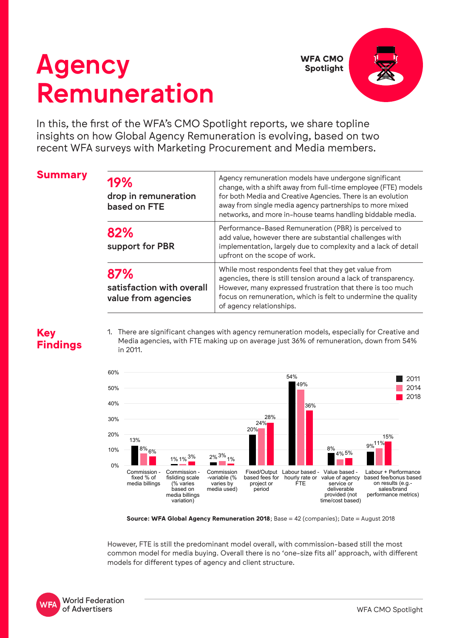# Agency Remuneration



In this, the first of the WFA's CMO Spotlight reports, we share topline insights on how Global Agency Remuneration is evolving, based on two recent WFA surveys with Marketing Procurement and Media members.

| <b>Summary</b> | 19%<br>drop in remuneration<br>based on FTE             | Agency remuneration models have undergone significant<br>change, with a shift away from full-time employee (FTE) models<br>for both Media and Creative Agencies. There is an evolution<br>away from single media agency partnerships to more mixed<br>networks, and more in-house teams handling biddable media. |  |  |  |
|----------------|---------------------------------------------------------|------------------------------------------------------------------------------------------------------------------------------------------------------------------------------------------------------------------------------------------------------------------------------------------------------------------|--|--|--|
|                | 82%<br>support for PBR                                  | Performance-Based Remuneration (PBR) is perceived to<br>add value, however there are substantial challenges with<br>implementation, largely due to complexity and a lack of detail<br>upfront on the scope of work.                                                                                              |  |  |  |
|                | 87%<br>satisfaction with overall<br>value from agencies | While most respondents feel that they get value from<br>agencies, there is still tension around a lack of transparency.<br>However, many expressed frustration that there is too much<br>focus on remuneration, which is felt to undermine the quality<br>of agency relationships.                               |  |  |  |

## **Key Findings**

1. There are significant changes with agency remuneration models, especially for Creative and Media agencies, with FTE making up on average just 36% of remuneration, down from 54% in 2011.



**Source: WFA Global Agency Remuneration 2018**; Base = 42 (companies); Date = August 2018

However, FTE is still the predominant model overall, with commission-based still the most common model for media buying. Overall there is no 'one-size fits all' approach, with different models for different types of agency and client structure.

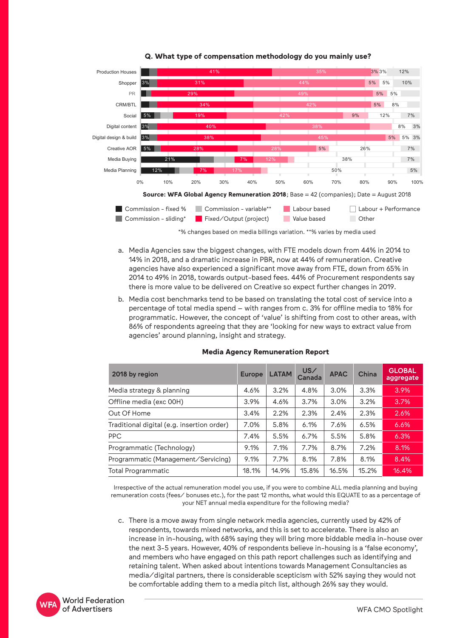

### **Q. What type of compensation methodology do you mainly use?**

\*% changes based on media billings variation. \*\*% varies by media used

- a. Media Agencies saw the biggest changes, with FTE models down from 44% in 2014 to 14% in 2018, and a dramatic increase in PBR, now at 44% of remuneration. Creative agencies have also experienced a significant move away from FTE, down from 65% in 2014 to 49% in 2018, towards output-based fees. 44% of Procurement respondents say there is more value to be delivered on Creative so expect further changes in 2019.
- b. Media cost benchmarks tend to be based on translating the total cost of service into a percentage of total media spend – with ranges from c. 3% for offline media to 18% for programmatic. However, the concept of 'value' is shifting from cost to other areas, with 86% of respondents agreeing that they are 'looking for new ways to extract value from agencies' around planning, insight and strategy.

| 2018 by region                             | <b>Europe</b> | <b>LATAM</b> | US/<br>Canada | <b>APAC</b> | China | <b>GLOBAL</b><br>aggregate |
|--------------------------------------------|---------------|--------------|---------------|-------------|-------|----------------------------|
| Media strategy & planning                  | 4.6%          | 3.2%         | 4.8%          | 3.0%        | 3.3%  | 3.9%                       |
| Offline media (exc 00H)                    | 3.9%          | 4.6%         | 3.7%          | 3.0%        | 3.2%  | 3.7%                       |
| Out Of Home                                | 3.4%          | 2.2%         | 2.3%          | 2.4%        | 2.3%  | 2.6%                       |
| Traditional digital (e.g. insertion order) | 7.0%          | 5.8%         | 6.1%          | 7.6%        | 6.5%  | 6.6%                       |
| <b>PPC</b>                                 | 7.4%          | 5.5%         | 6.7%          | 5.5%        | 5.8%  | 6.3%                       |
| Programmatic (Technology)                  | 9.1%          | 7.1%         | 7.7%          | 8.7%        | 7.2%  | 8.1%                       |
| Programmatic (Management/Servicing)        | 9.1%          | 7.7%         | 8.1%          | 7.8%        | 8.1%  | 8.4%                       |
| <b>Total Programmatic</b>                  | 18.1%         | 14.9%        | 15.8%         | 16.5%       | 15.2% | 16.4%                      |

#### **Media Agency Remuneration Report**

Irrespective of the actual remuneration model you use, if you were to combine ALL media planning and buying remuneration costs (fees/ bonuses etc.), for the past 12 months, what would this EQUATE to as a percentage of your NET annual media expenditure for the following media?

c. There is a move away from single network media agencies, currently used by 42% of respondents, towards mixed networks, and this is set to accelerate. There is also an increase in in-housing, with 68% saying they will bring more biddable media in-house over the next 3-5 years. However, 40% of respondents believe in-housing is a 'false economy', and members who have engaged on this path report challenges such as identifying and retaining talent. When asked about intentions towards Management Consultancies as media/digital partners, there is considerable scepticism with 52% saying they would not be comfortable adding them to a media pitch list, although 26% say they would.